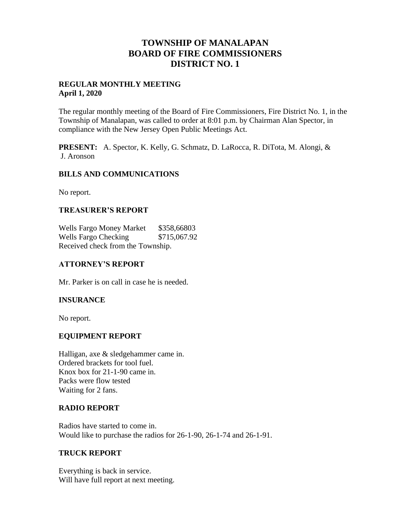# **TOWNSHIP OF MANALAPAN BOARD OF FIRE COMMISSIONERS DISTRICT NO. 1**

### **REGULAR MONTHLY MEETING April 1, 2020**

The regular monthly meeting of the Board of Fire Commissioners, Fire District No. 1, in the Township of Manalapan, was called to order at 8:01 p.m. by Chairman Alan Spector, in compliance with the New Jersey Open Public Meetings Act.

**PRESENT:** A. Spector, K. Kelly, G. Schmatz, D. LaRocca, R. DiTota, M. Alongi, & J. Aronson

## **BILLS AND COMMUNICATIONS**

No report.

## **TREASURER'S REPORT**

Wells Fargo Money Market \$358,66803 Wells Fargo Checking  $$715,067.92$ Received check from the Township.

## **ATTORNEY'S REPORT**

Mr. Parker is on call in case he is needed.

## **INSURANCE**

No report.

### **EQUIPMENT REPORT**

Halligan, axe & sledgehammer came in. Ordered brackets for tool fuel. Knox box for 21-1-90 came in. Packs were flow tested Waiting for 2 fans.

### **RADIO REPORT**

Radios have started to come in. Would like to purchase the radios for 26-1-90, 26-1-74 and 26-1-91.

### **TRUCK REPORT**

Everything is back in service. Will have full report at next meeting.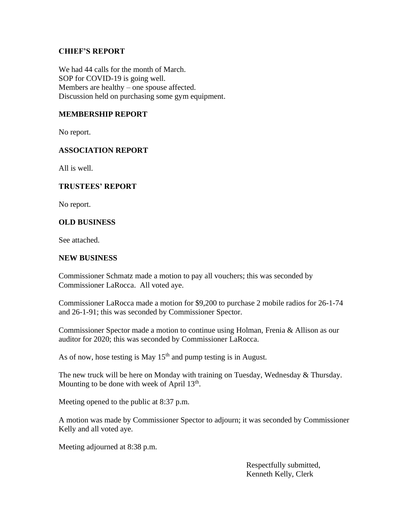## **CHIEF'S REPORT**

We had 44 calls for the month of March. SOP for COVID-19 is going well. Members are healthy – one spouse affected. Discussion held on purchasing some gym equipment.

## **MEMBERSHIP REPORT**

No report.

## **ASSOCIATION REPORT**

All is well.

### **TRUSTEES' REPORT**

No report.

### **OLD BUSINESS**

See attached.

#### **NEW BUSINESS**

Commissioner Schmatz made a motion to pay all vouchers; this was seconded by Commissioner LaRocca. All voted aye.

Commissioner LaRocca made a motion for \$9,200 to purchase 2 mobile radios for 26-1-74 and 26-1-91; this was seconded by Commissioner Spector.

Commissioner Spector made a motion to continue using Holman, Frenia & Allison as our auditor for 2020; this was seconded by Commissioner LaRocca.

As of now, hose testing is May  $15<sup>th</sup>$  and pump testing is in August.

The new truck will be here on Monday with training on Tuesday, Wednesday & Thursday. Mounting to be done with week of April  $13<sup>th</sup>$ .

Meeting opened to the public at 8:37 p.m.

A motion was made by Commissioner Spector to adjourn; it was seconded by Commissioner Kelly and all voted aye.

Meeting adjourned at 8:38 p.m.

 Respectfully submitted, Kenneth Kelly, Clerk